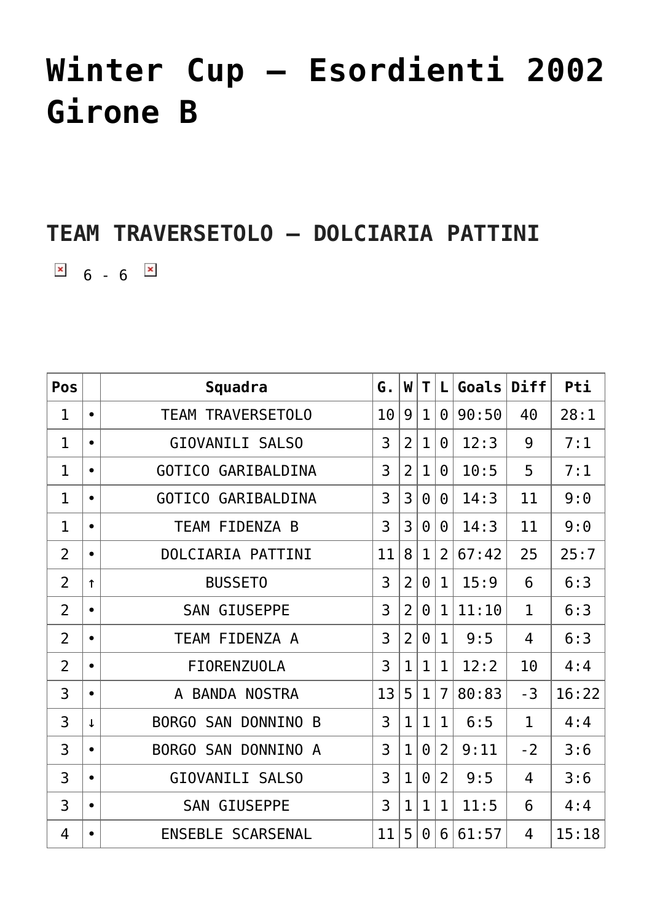## **[Winter Cup – Esordienti 2002](https://aicsparma.info/wps/winter-cup-esordienti-2002-girone-b) [Girone B](https://aicsparma.info/wps/winter-cup-esordienti-2002-girone-b)**

## **TEAM TRAVERSETOLO – DOLCIARIA PATTINI**

 $\overline{\phantom{a}}$  6 - 6  $\overline{\phantom{a}}$ 

| Pos            |              | Squadra                       | G. | W              | T            | L              | Goals | Diff         | Pti   |
|----------------|--------------|-------------------------------|----|----------------|--------------|----------------|-------|--------------|-------|
| $\mathbf{1}$   | $\bullet$    | <b>TEAM TRAVERSETOLO</b>      | 10 | 9              | $\mathbf{1}$ | $\Theta$       | 90:50 | 40           | 28:1  |
| $\mathbf 1$    | $\bullet$    | GIOVANILI SALSO               | 3  | $\overline{2}$ | $\mathbf{1}$ | $\Theta$       | 12:3  | 9            | 7:1   |
| $\mathbf{1}$   | $\bullet$    | GOTICO GARIBALDINA            | 3  | $\overline{2}$ | $\mathbf{1}$ | $\Theta$       | 10:5  | 5            | 7:1   |
| $\mathbf{1}$   | $\bullet$    | GOTICO GARIBALDINA            | 3  | 3              | $\Theta$     | $\Theta$       | 14:3  | 11           | 9:0   |
| $\mathbf{1}$   | $\bullet$    | TEAM FIDENZA B                | 3  | 3              | $\Theta$     | $\Theta$       | 14:3  | 11           | 9:0   |
| $\overline{2}$ | $\bullet$    | DOLCIARIA PATTINI             | 11 | 8              | $\mathbf{1}$ | $\overline{2}$ | 67:42 | 25           | 25:7  |
| $\overline{2}$ | $\uparrow$   | <b>BUSSET0</b>                | 3  | $\overline{2}$ | $\Theta$     | $\mathbf{1}$   | 15:9  | 6            | 6:3   |
| $\overline{2}$ | $\bullet$    | <b>GIUSEPPE</b><br><b>SAN</b> | 3  | $\overline{2}$ | $\Theta$     | $\mathbf{1}$   | 11:10 | $\mathbf{1}$ | 6:3   |
| $\overline{2}$ | $\bullet$    | TEAM FIDENZA A                | 3  | $\overline{2}$ | $\Theta$     | $\mathbf{1}$   | 9:5   | 4            | 6:3   |
| $\overline{2}$ | $\bullet$    | <b>FIORENZUOLA</b>            | 3  | $\mathbf{1}$   | $\mathbf{1}$ | $\mathbf{1}$   | 12:2  | 10           | 4:4   |
| 3              | $\bullet$    | <b>BANDA NOSTRA</b><br>A      | 13 | 5              | $\mathbf{1}$ | $\overline{7}$ | 80:83 | $-3$         | 16:22 |
| 3              | $\downarrow$ | BORGO SAN DONNINO<br>B        | 3  | $\mathbf{1}$   | $\mathbf{1}$ | $\mathbf{1}$   | 6:5   | $\mathbf{1}$ | 4:4   |
| 3              | $\bullet$    | DONNINO A<br>BORGO SAN        | 3  | $\mathbf{1}$   | $\Theta$     | $\overline{2}$ | 9:11  | $-2$         | 3:6   |
| 3              | $\bullet$    | GIOVANILI SALSO               | 3  | $\mathbf{1}$   | $\Theta$     | $\overline{2}$ | 9:5   | 4            | 3:6   |
| 3              | $\bullet$    | <b>GIUSEPPE</b><br><b>SAN</b> | 3  | $\mathbf{1}$   | $\mathbf{1}$ | $\mathbf{1}$   | 11:5  | 6            | 4:4   |
| 4              | $\bullet$    | ENSEBLE SCARSENAL             | 11 | 5              | $\Theta$     | 6              | 61:57 | 4            | 15:18 |